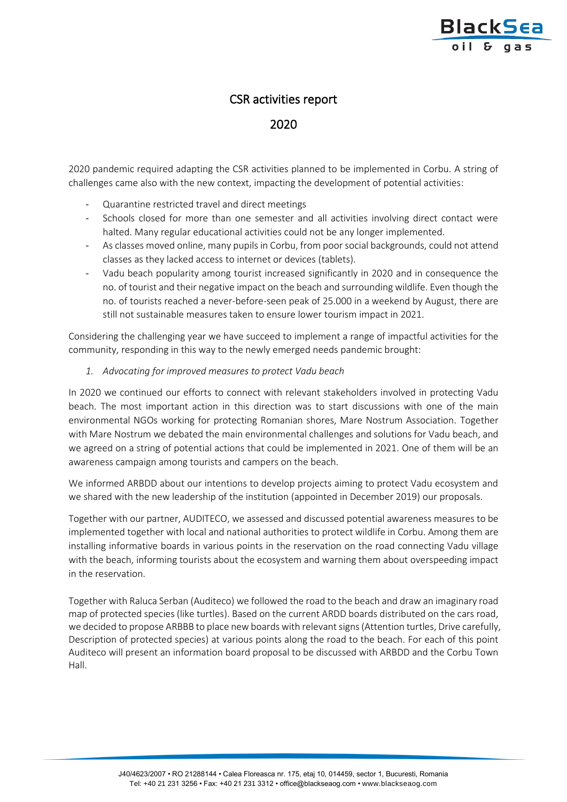

## CSR activities report

2020

2020 pandemic required adapting the CSR activities planned to be implemented in Corbu. A string of challenges came also with the new context, impacting the development of potential activities:

- Quarantine restricted travel and direct meetings
- Schools closed for more than one semester and all activities involving direct contact were halted. Many regular educational activities could not be any longer implemented.
- As classes moved online, many pupils in Corbu, from poor social backgrounds, could not attend classes as they lacked access to internet or devices (tablets).
- Vadu beach popularity among tourist increased significantly in 2020 and in consequence the no. of tourist and their negative impact on the beach and surrounding wildlife. Even though the no. of tourists reached a never-before-seen peak of 25.000 in a weekend by August, there are still not sustainable measures taken to ensure lower tourism impact in 2021.

Considering the challenging year we have succeed to implement a range of impactful activities for the community, responding in this way to the newly emerged needs pandemic brought:

## *1. Advocating for improved measures to protect Vadu beach*

In 2020 we continued our efforts to connect with relevant stakeholders involved in protecting Vadu beach. The most important action in this direction was to start discussions with one of the main environmental NGOs working for protecting Romanian shores, Mare Nostrum Association. Together with Mare Nostrum we debated the main environmental challenges and solutions for Vadu beach, and we agreed on a string of potential actions that could be implemented in 2021. One of them will be an awareness campaign among tourists and campers on the beach.

We informed ARBDD about our intentions to develop projects aiming to protect Vadu ecosystem and we shared with the new leadership of the institution (appointed in December 2019) our proposals.

Together with our partner, AUDITECO, we assessed and discussed potential awareness measures to be implemented together with local and national authorities to protect wildlife in Corbu. Among them are installing informative boards in various points in the reservation on the road connecting Vadu village with the beach, informing tourists about the ecosystem and warning them about overspeeding impact in the reservation.

Together with Raluca Serban (Auditeco) we followed the road to the beach and draw an imaginary road map of protected species (like turtles). Based on the current ARDD boards distributed on the cars road, we decided to propose ARBBB to place new boards with relevant signs (Attention turtles, Drive carefully, Description of protected species) at various points along the road to the beach. For each of this point Auditeco will present an information board proposal to be discussed with ARBDD and the Corbu Town Hall.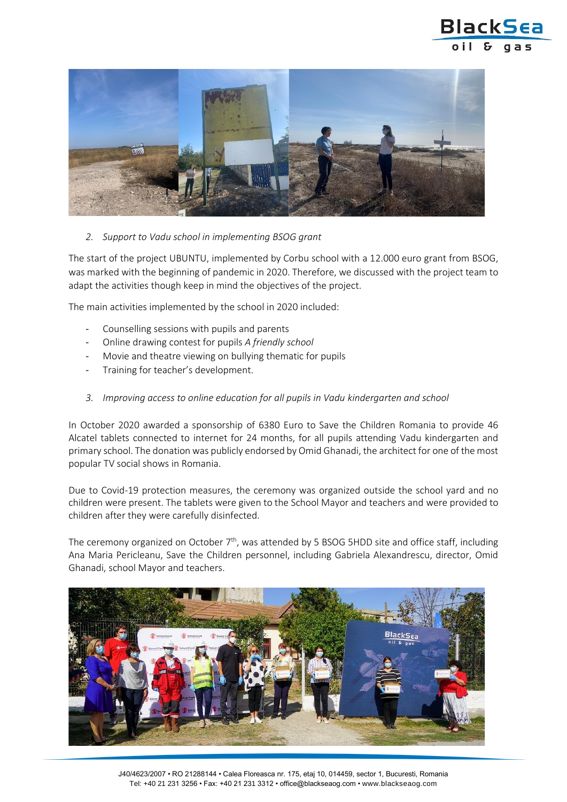



*2. Support to Vadu school in implementing BSOG grant*

The start of the project UBUNTU, implemented by Corbu school with a 12.000 euro grant from BSOG, was marked with the beginning of pandemic in 2020. Therefore, we discussed with the project team to adapt the activities though keep in mind the objectives of the project.

The main activities implemented by the school in 2020 included:

- Counselling sessions with pupils and parents
- Online drawing contest for pupils *A friendly school*
- Movie and theatre viewing on bullying thematic for pupils
- Training for teacher's development.
- *3. Improving access to online education for all pupils in Vadu kindergarten and school*

In October 2020 awarded a sponsorship of 6380 Euro to Save the Children Romania to provide 46 Alcatel tablets connected to internet for 24 months, for all pupils attending Vadu kindergarten and primary school. The donation was publicly endorsed by Omid Ghanadi, the architect for one of the most popular TV social shows in Romania.

Due to Covid-19 protection measures, the ceremony was organized outside the school yard and no children were present. The tablets were given to the School Mayor and teachers and were provided to children after they were carefully disinfected.

The ceremony organized on October  $7<sup>th</sup>$ , was attended by 5 BSOG 5HDD site and office staff, including Ana Maria Pericleanu, Save the Children personnel, including Gabriela Alexandrescu, director, Omid Ghanadi, school Mayor and teachers.

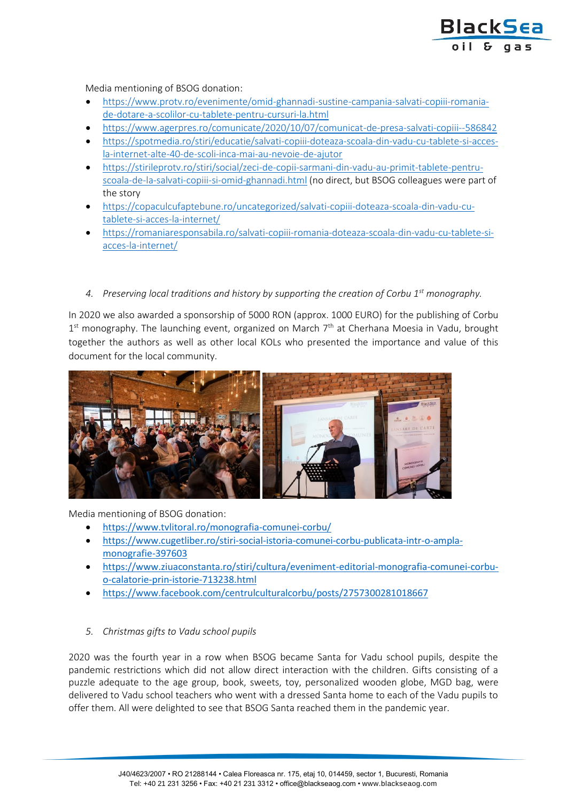

Media mentioning of BSOG donation:

- [https://www.protv.ro/evenimente/omid-ghannadi-sustine-campania-salvati-copiii-romania](https://www.protv.ro/evenimente/omid-ghannadi-sustine-campania-salvati-copiii-romania-de-dotare-a-scolilor-cu-tablete-pentru-cursuri-la.html)[de-dotare-a-scolilor-cu-tablete-pentru-cursuri-la.html](https://www.protv.ro/evenimente/omid-ghannadi-sustine-campania-salvati-copiii-romania-de-dotare-a-scolilor-cu-tablete-pentru-cursuri-la.html)
- <https://www.agerpres.ro/comunicate/2020/10/07/comunicat-de-presa-salvati-copiii--586842>
- [https://spotmedia.ro/stiri/educatie/salvati-copiii-doteaza-scoala-din-vadu-cu-tablete-si-acces](https://spotmedia.ro/stiri/educatie/salvati-copiii-doteaza-scoala-din-vadu-cu-tablete-si-acces-la-internet-alte-40-de-scoli-inca-mai-au-nevoie-de-ajutor)[la-internet-alte-40-de-scoli-inca-mai-au-nevoie-de-ajutor](https://spotmedia.ro/stiri/educatie/salvati-copiii-doteaza-scoala-din-vadu-cu-tablete-si-acces-la-internet-alte-40-de-scoli-inca-mai-au-nevoie-de-ajutor)
- [https://stirileprotv.ro/stiri/social/zeci-de-copii-sarmani-din-vadu-au-primit-tablete-pentru](https://stirileprotv.ro/stiri/social/zeci-de-copii-sarmani-din-vadu-au-primit-tablete-pentru-scoala-de-la-salvati-copiii-si-omid-ghannadi.html)[scoala-de-la-salvati-copiii-si-omid-ghannadi.html](https://stirileprotv.ro/stiri/social/zeci-de-copii-sarmani-din-vadu-au-primit-tablete-pentru-scoala-de-la-salvati-copiii-si-omid-ghannadi.html) (no direct, but BSOG colleagues were part of the story
- [https://copaculcufaptebune.ro/uncategorized/salvati-copiii-doteaza-scoala-din-vadu-cu](https://copaculcufaptebune.ro/uncategorized/salvati-copiii-doteaza-scoala-din-vadu-cu-tablete-si-acces-la-internet/)[tablete-si-acces-la-internet/](https://copaculcufaptebune.ro/uncategorized/salvati-copiii-doteaza-scoala-din-vadu-cu-tablete-si-acces-la-internet/)
- [https://romaniaresponsabila.ro/salvati-copiii-romania-doteaza-scoala-din-vadu-cu-tablete-si](https://romaniaresponsabila.ro/salvati-copiii-romania-doteaza-scoala-din-vadu-cu-tablete-si-acces-la-internet/)[acces-la-internet/](https://romaniaresponsabila.ro/salvati-copiii-romania-doteaza-scoala-din-vadu-cu-tablete-si-acces-la-internet/)
- *4. Preserving local traditions and history by supporting the creation of Corbu 1st monography.*

In 2020 we also awarded a sponsorship of 5000 RON (approx. 1000 EURO) for the publishing of Corbu 1<sup>st</sup> monography. The launching event, organized on March 7<sup>th</sup> at Cherhana Moesia in Vadu, brought together the authors as well as other local KOLs who presented the importance and value of this document for the local community.



Media mentioning of BSOG donation:

- <https://www.tvlitoral.ro/monografia-comunei-corbu/>
- [https://www.cugetliber.ro/stiri-social-istoria-comunei-corbu-publicata-intr-o-ampla](https://www.cugetliber.ro/stiri-social-istoria-comunei-corbu-publicata-intr-o-ampla-monografie-397603)[monografie-397603](https://www.cugetliber.ro/stiri-social-istoria-comunei-corbu-publicata-intr-o-ampla-monografie-397603)
- [https://www.ziuaconstanta.ro/stiri/cultura/eveniment-editorial-monografia-comunei-corbu](https://www.ziuaconstanta.ro/stiri/cultura/eveniment-editorial-monografia-comunei-corbu-o-calatorie-prin-istorie-713238.html)[o-calatorie-prin-istorie-713238.html](https://www.ziuaconstanta.ro/stiri/cultura/eveniment-editorial-monografia-comunei-corbu-o-calatorie-prin-istorie-713238.html)
- <https://www.facebook.com/centrulculturalcorbu/posts/2757300281018667>

## *5. Christmas gifts to Vadu school pupils*

2020 was the fourth year in a row when BSOG became Santa for Vadu school pupils, despite the pandemic restrictions which did not allow direct interaction with the children. Gifts consisting of a puzzle adequate to the age group, book, sweets, toy, personalized wooden globe, MGD bag, were delivered to Vadu school teachers who went with a dressed Santa home to each of the Vadu pupils to offer them. All were delighted to see that BSOG Santa reached them in the pandemic year.